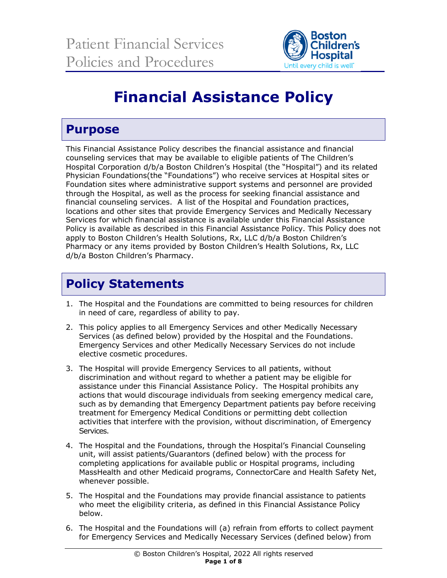

# **Financial Assistance Policy**

### **Purpose**

This Financial Assistance Policy describes the financial assistance and financial counseling services that may be available to eligible patients of The Children's Hospital Corporation d/b/a Boston Children's Hospital (the "Hospital") and its related Physician Foundations(the "Foundations") who receive services at Hospital sites or Foundation sites where administrative support systems and personnel are provided through the Hospital, as well as the process for seeking financial assistance and financial counseling services. A list of the Hospital and Foundation practices, locations and other sites that provide Emergency Services and Medically Necessary Services for which financial assistance is available under this Financial Assistance Policy is available as described in this Financial Assistance Policy. This Policy does not apply to Boston Children's Health Solutions, Rx, LLC d/b/a Boston Children's Pharmacy or any items provided by Boston Children's Health Solutions, Rx, LLC d/b/a Boston Children's Pharmacy.

# **Policy Statements**

- 1. The Hospital and the Foundations are committed to being resources for children in need of care, regardless of ability to pay.
- 2. This policy applies to all Emergency Services and other Medically Necessary Services (as defined below) provided by the Hospital and the Foundations. Emergency Services and other Medically Necessary Services do not include elective cosmetic procedures.
- 3. The Hospital will provide Emergency Services to all patients, without discrimination and without regard to whether a patient may be eligible for assistance under this Financial Assistance Policy. The Hospital prohibits any actions that would discourage individuals from seeking emergency medical care, such as by demanding that Emergency Department patients pay before receiving treatment for Emergency Medical Conditions or permitting debt collection activities that interfere with the provision, without discrimination, of Emergency Services.
- 4. The Hospital and the Foundations, through the Hospital's Financial Counseling unit, will assist patients/Guarantors (defined below) with the process for completing applications for available public or Hospital programs, including MassHealth and other Medicaid programs, ConnectorCare and Health Safety Net, whenever possible.
- 5. The Hospital and the Foundations may provide financial assistance to patients who meet the eligibility criteria, as defined in this Financial Assistance Policy below.
- 6. The Hospital and the Foundations will (a) refrain from efforts to collect payment for Emergency Services and Medically Necessary Services (defined below) from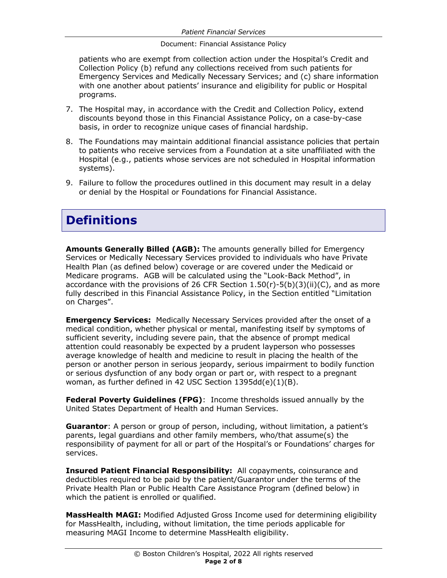patients who are exempt from collection action under the Hospital's Credit and Collection Policy (b) refund any collections received from such patients for Emergency Services and Medically Necessary Services; and (c) share information with one another about patients' insurance and eligibility for public or Hospital programs.

- 7. The Hospital may, in accordance with the Credit and Collection Policy, extend discounts beyond those in this Financial Assistance Policy, on a case-by-case basis, in order to recognize unique cases of financial hardship.
- 8. The Foundations may maintain additional financial assistance policies that pertain to patients who receive services from a Foundation at a site unaffiliated with the Hospital (e.g., patients whose services are not scheduled in Hospital information systems).
- 9. Failure to follow the procedures outlined in this document may result in a delay or denial by the Hospital or Foundations for Financial Assistance.

### **Definitions**

**Amounts Generally Billed (AGB):** The amounts generally billed for Emergency Services or Medically Necessary Services provided to individuals who have Private Health Plan (as defined below) coverage or are covered under the Medicaid or Medicare programs. AGB will be calculated using the "Look-Back Method", in accordance with the provisions of 26 CFR Section  $1.50(r)-5(b)(3)(ii)(C)$ , and as more fully described in this Financial Assistance Policy, in the Section entitled "Limitation on Charges".

**Emergency Services:** Medically Necessary Services provided after the onset of a medical condition, whether physical or mental, manifesting itself by symptoms of sufficient severity, including severe pain, that the absence of prompt medical attention could reasonably be expected by a prudent layperson who possesses average knowledge of health and medicine to result in placing the health of the person or another person in serious jeopardy, serious impairment to bodily function or serious dysfunction of any body organ or part or, with respect to a pregnant woman, as further defined in 42 USC Section 1395dd(e)(1)(B).

**Federal Poverty Guidelines (FPG)**: Income thresholds issued annually by the United States Department of Health and Human Services.

**Guarantor**: A person or group of person, including, without limitation, a patient's parents, legal guardians and other family members, who/that assume(s) the responsibility of payment for all or part of the Hospital's or Foundations' charges for services.

**Insured Patient Financial Responsibility:** All copayments, coinsurance and deductibles required to be paid by the patient/Guarantor under the terms of the Private Health Plan or Public Health Care Assistance Program (defined below) in which the patient is enrolled or qualified.

**MassHealth MAGI:** Modified Adjusted Gross Income used for determining eligibility for MassHealth, including, without limitation, the time periods applicable for measuring MAGI Income to determine MassHealth eligibility.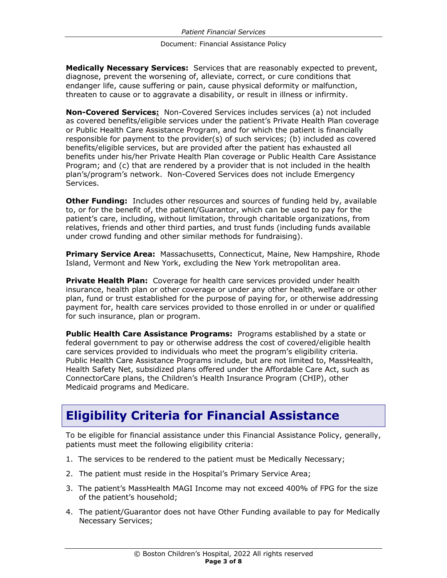**Medically Necessary Services:** Services that are reasonably expected to prevent, diagnose, prevent the worsening of, alleviate, correct, or cure conditions that endanger life, cause suffering or pain, cause physical deformity or malfunction, threaten to cause or to aggravate a disability, or result in illness or infirmity.

**Non-Covered Services:** Non-Covered Services includes services (a) not included as covered benefits/eligible services under the patient's Private Health Plan coverage or Public Health Care Assistance Program, and for which the patient is financially responsible for payment to the provider(s) of such services; (b) included as covered benefits/eligible services, but are provided after the patient has exhausted all benefits under his/her Private Health Plan coverage or Public Health Care Assistance Program; and (c) that are rendered by a provider that is not included in the health plan's/program's network. Non-Covered Services does not include Emergency Services.

**Other Funding:** Includes other resources and sources of funding held by, available to, or for the benefit of, the patient/Guarantor, which can be used to pay for the patient's care, including, without limitation, through charitable organizations, from relatives, friends and other third parties, and trust funds (including funds available under crowd funding and other similar methods for fundraising).

**Primary Service Area:** Massachusetts, Connecticut, Maine, New Hampshire, Rhode Island, Vermont and New York, excluding the New York metropolitan area.

**Private Health Plan:** Coverage for health care services provided under health insurance, health plan or other coverage or under any other health, welfare or other plan, fund or trust established for the purpose of paying for, or otherwise addressing payment for, health care services provided to those enrolled in or under or qualified for such insurance, plan or program.

**Public Health Care Assistance Programs:** Programs established by a state or federal government to pay or otherwise address the cost of covered/eligible health care services provided to individuals who meet the program's eligibility criteria. Public Health Care Assistance Programs include, but are not limited to, MassHealth, Health Safety Net, subsidized plans offered under the Affordable Care Act, such as ConnectorCare plans, the Children's Health Insurance Program (CHIP), other Medicaid programs and Medicare.

# **Eligibility Criteria for Financial Assistance**

To be eligible for financial assistance under this Financial Assistance Policy, generally, patients must meet the following eligibility criteria:

- 1. The services to be rendered to the patient must be Medically Necessary;
- 2. The patient must reside in the Hospital's Primary Service Area;
- 3. The patient's MassHealth MAGI Income may not exceed 400% of FPG for the size of the patient's household;
- 4. The patient/Guarantor does not have Other Funding available to pay for Medically Necessary Services;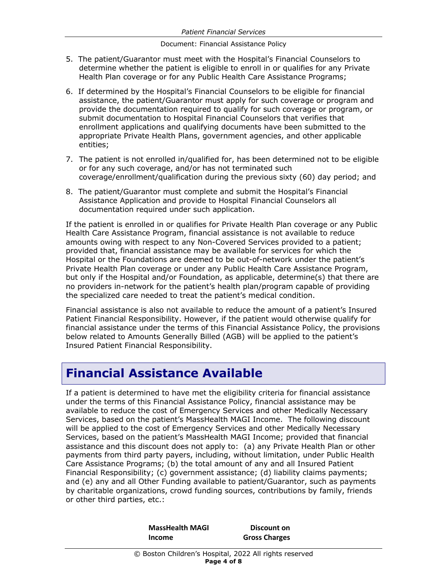- 5. The patient/Guarantor must meet with the Hospital's Financial Counselors to determine whether the patient is eligible to enroll in or qualifies for any Private Health Plan coverage or for any Public Health Care Assistance Programs;
- 6. If determined by the Hospital's Financial Counselors to be eligible for financial assistance, the patient/Guarantor must apply for such coverage or program and provide the documentation required to qualify for such coverage or program, or submit documentation to Hospital Financial Counselors that verifies that enrollment applications and qualifying documents have been submitted to the appropriate Private Health Plans, government agencies, and other applicable entities;
- 7. The patient is not enrolled in/qualified for, has been determined not to be eligible or for any such coverage, and/or has not terminated such coverage/enrollment/qualification during the previous sixty (60) day period; and
- 8. The patient/Guarantor must complete and submit the Hospital's Financial Assistance Application and provide to Hospital Financial Counselors all documentation required under such application.

If the patient is enrolled in or qualifies for Private Health Plan coverage or any Public Health Care Assistance Program, financial assistance is not available to reduce amounts owing with respect to any Non-Covered Services provided to a patient; provided that, financial assistance may be available for services for which the Hospital or the Foundations are deemed to be out-of-network under the patient's Private Health Plan coverage or under any Public Health Care Assistance Program, but only if the Hospital and/or Foundation, as applicable, determine(s) that there are no providers in-network for the patient's health plan/program capable of providing the specialized care needed to treat the patient's medical condition.

Financial assistance is also not available to reduce the amount of a patient's Insured Patient Financial Responsibility. However, if the patient would otherwise qualify for financial assistance under the terms of this Financial Assistance Policy, the provisions below related to Amounts Generally Billed (AGB) will be applied to the patient's Insured Patient Financial Responsibility.

#### **Financial Assistance Available**

If a patient is determined to have met the eligibility criteria for financial assistance under the terms of this Financial Assistance Policy, financial assistance may be available to reduce the cost of Emergency Services and other Medically Necessary Services, based on the patient's MassHealth MAGI Income. The following discount will be applied to the cost of Emergency Services and other Medically Necessary Services, based on the patient's MassHealth MAGI Income; provided that financial assistance and this discount does not apply to: (a) any Private Health Plan or other payments from third party payers, including, without limitation, under Public Health Care Assistance Programs; (b) the total amount of any and all Insured Patient Financial Responsibility; (c) government assistance; (d) liability claims payments; and (e) any and all Other Funding available to patient/Guarantor, such as payments by charitable organizations, crowd funding sources, contributions by family, friends or other third parties, etc.:

> **MassHealth MAGI Income Discount on Gross Charges**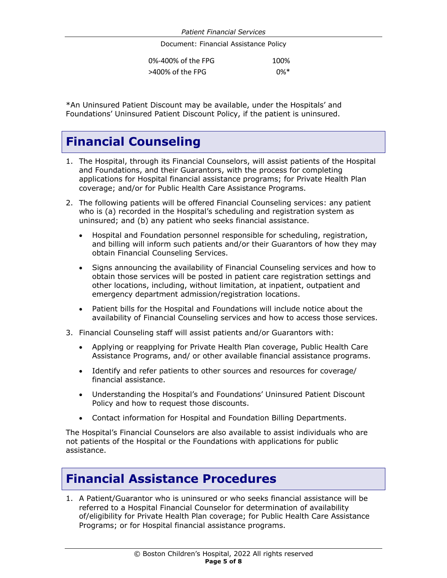| 0%-400% of the FPG | 100%   |
|--------------------|--------|
| >400% of the FPG   | $0\%*$ |

\*An Uninsured Patient Discount may be available, under the Hospitals' and Foundations' Uninsured Patient Discount Policy, if the patient is uninsured.

## **Financial Counseling**

- 1. The Hospital, through its Financial Counselors, will assist patients of the Hospital and Foundations, and their Guarantors, with the process for completing applications for Hospital financial assistance programs; for Private Health Plan coverage; and/or for Public Health Care Assistance Programs.
- 2. The following patients will be offered Financial Counseling services: any patient who is (a) recorded in the Hospital's scheduling and registration system as uninsured; and (b) any patient who seeks financial assistance.
	- Hospital and Foundation personnel responsible for scheduling, registration, and billing will inform such patients and/or their Guarantors of how they may obtain Financial Counseling Services.
	- Signs announcing the availability of Financial Counseling services and how to obtain those services will be posted in patient care registration settings and other locations, including, without limitation, at inpatient, outpatient and emergency department admission/registration locations.
	- Patient bills for the Hospital and Foundations will include notice about the availability of Financial Counseling services and how to access those services.
- 3. Financial Counseling staff will assist patients and/or Guarantors with:
	- Applying or reapplying for Private Health Plan coverage, Public Health Care Assistance Programs, and/ or other available financial assistance programs.
	- Identify and refer patients to other sources and resources for coverage/ financial assistance.
	- Understanding the Hospital's and Foundations' Uninsured Patient Discount Policy and how to request those discounts.
	- Contact information for Hospital and Foundation Billing Departments.

The Hospital's Financial Counselors are also available to assist individuals who are not patients of the Hospital or the Foundations with applications for public assistance.

#### **Financial Assistance Procedures**

1. A Patient/Guarantor who is uninsured or who seeks financial assistance will be referred to a Hospital Financial Counselor for determination of availability of/eligibility for Private Health Plan coverage; for Public Health Care Assistance Programs; or for Hospital financial assistance programs.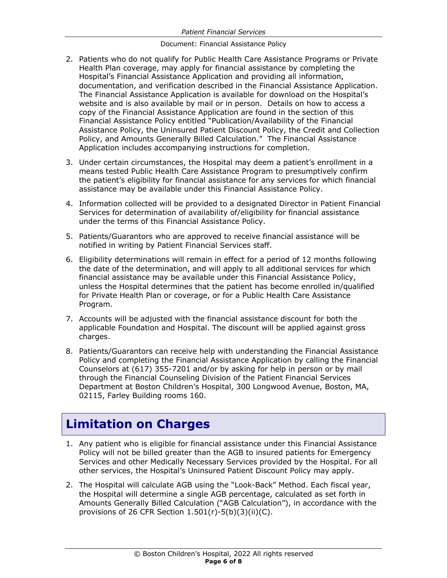- 2. Patients who do not qualify for Public Health Care Assistance Programs or Private Health Plan coverage, may apply for financial assistance by completing the Hospital's Financial Assistance Application and providing all information, documentation, and verification described in the Financial Assistance Application. The Financial Assistance Application is available for download on the Hospital's website and is also available by mail or in person. Details on how to access a copy of the Financial Assistance Application are found in the section of this Financial Assistance Policy entitled "Publication/Availability of the Financial Assistance Policy, the Uninsured Patient Discount Policy, the Credit and Collection Policy, and Amounts Generally Billed Calculation." The Financial Assistance Application includes accompanying instructions for completion.
- 3. Under certain circumstances, the Hospital may deem a patient's enrollment in a means tested Public Health Care Assistance Program to presumptively confirm the patient's eligibility for financial assistance for any services for which financial assistance may be available under this Financial Assistance Policy.
- 4. Information collected will be provided to a designated Director in Patient Financial Services for determination of availability of/eligibility for financial assistance under the terms of this Financial Assistance Policy.
- 5. Patients/Guarantors who are approved to receive financial assistance will be notified in writing by Patient Financial Services staff.
- 6. Eligibility determinations will remain in effect for a period of 12 months following the date of the determination, and will apply to all additional services for which financial assistance may be available under this Financial Assistance Policy, unless the Hospital determines that the patient has become enrolled in/qualified for Private Health Plan or coverage, or for a Public Health Care Assistance Program.
- 7. Accounts will be adjusted with the financial assistance discount for both the applicable Foundation and Hospital. The discount will be applied against gross charges.
- 8. Patients/Guarantors can receive help with understanding the Financial Assistance Policy and completing the Financial Assistance Application by calling the Financial Counselors at (617) 355-7201 and/or by asking for help in person or by mail through the Financial Counseling Division of the Patient Financial Services Department at Boston Children's Hospital, 300 Longwood Avenue, Boston, MA, 02115, Farley Building rooms 160.

# **Limitation on Charges**

- 1. Any patient who is eligible for financial assistance under this Financial Assistance Policy will not be billed greater than the AGB to insured patients for Emergency Services and other Medically Necessary Services provided by the Hospital. For all other services, the Hospital's Uninsured Patient Discount Policy may apply.
- 2. The Hospital will calculate AGB using the "Look-Back" Method. Each fiscal year, the Hospital will determine a single AGB percentage, calculated as set forth in Amounts Generally Billed Calculation ("AGB Calculation"), in accordance with the provisions of 26 CFR Section  $1.501(r)-5(b)(3)(ii)(C)$ .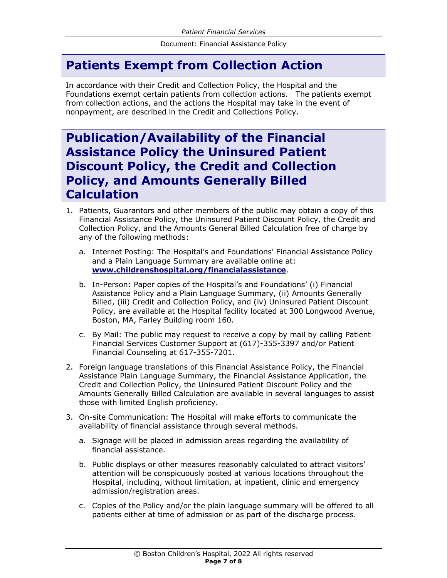### **Patients Exempt from Collection Action**

In accordance with their Credit and Collection Policy, the Hospital and the Foundations exempt certain patients from collection actions. The patients exempt from collection actions, and the actions the Hospital may take in the event of nonpayment, are described in the Credit and Collections Policy.

#### **Publication/Availability of the Financial Assistance Policy the Uninsured Patient Discount Policy, the Credit and Collection Policy, and Amounts Generally Billed Calculation**

- 1. Patients, Guarantors and other members of the public may obtain a copy of this Financial Assistance Policy, the Uninsured Patient Discount Policy, the Credit and Collection Policy, and the Amounts General Billed Calculation free of charge by any of the following methods:
	- a. Internet Posting: The Hospital's and Foundations' Financial Assistance Policy and a Plain Language Summary are available online at: **www.childrenshospital.org/financialassistance**.
	- b. In-Person: Paper copies of the Hospital's and Foundations' (i) Financial Assistance Policy and a Plain Language Summary, (ii) Amounts Generally Billed, (iii) Credit and Collection Policy, and (iv) Uninsured Patient Discount Policy, are available at the Hospital facility located at 300 Longwood Avenue, Boston, MA, Farley Building room 160.
	- c. By Mail: The public may request to receive a copy by mail by calling Patient Financial Services Customer Support at (617)-355-3397 and/or Patient Financial Counseling at 617-355-7201.
- 2. Foreign language translations of this Financial Assistance Policy, the Financial Assistance Plain Language Summary, the Financial Assistance Application, the Credit and Collection Policy, the Uninsured Patient Discount Policy and the Amounts Generally Billed Calculation are available in several languages to assist those with limited English proficiency.
- 3. On-site Communication: The Hospital will make efforts to communicate the availability of financial assistance through several methods.
	- a. Signage will be placed in admission areas regarding the availability of financial assistance.
	- b. Public displays or other measures reasonably calculated to attract visitors' attention will be conspicuously posted at various locations throughout the Hospital, including, without limitation, at inpatient, clinic and emergency admission/registration areas.
	- c. Copies of the Policy and/or the plain language summary will be offered to all patients either at time of admission or as part of the discharge process.